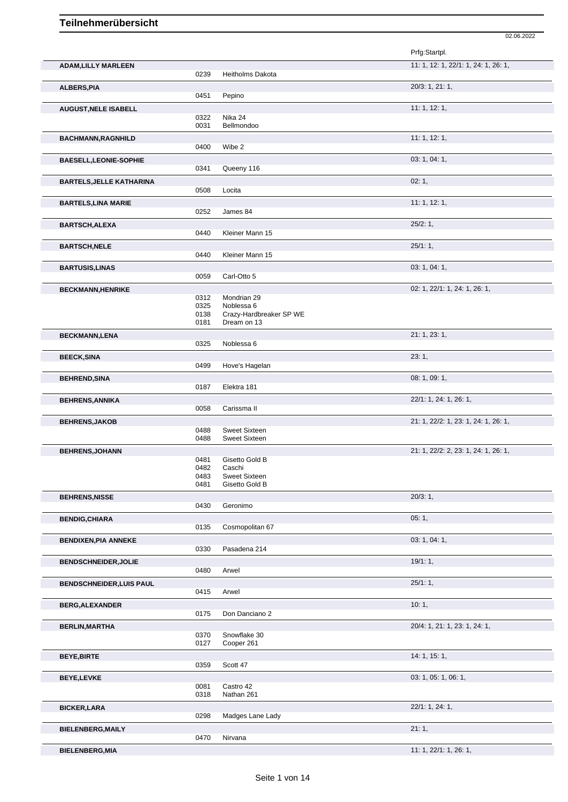|                                 |              |                                       | Prfg:Startpl.                        |
|---------------------------------|--------------|---------------------------------------|--------------------------------------|
| <b>ADAM, LILLY MARLEEN</b>      |              |                                       | 11: 1, 12: 1, 22/1: 1, 24: 1, 26: 1, |
|                                 | 0239         | <b>Heitholms Dakota</b>               |                                      |
| <b>ALBERS, PIA</b>              |              |                                       | 20/3: 1, 21: 1,                      |
|                                 | 0451         | Pepino                                |                                      |
| <b>AUGUST, NELE ISABELL</b>     |              |                                       | 11: 1, 12: 1,                        |
|                                 | 0322<br>0031 | Nika 24<br>Bellmondoo                 |                                      |
|                                 |              |                                       |                                      |
| <b>BACHMANN, RAGNHILD</b>       | 0400         | Wibe 2                                | 11:1, 12:1,                          |
|                                 |              |                                       |                                      |
| <b>BAESELL, LEONIE-SOPHIE</b>   | 0341         | Queeny 116                            | 03: 1, 04: 1,                        |
|                                 |              |                                       |                                      |
| <b>BARTELS, JELLE KATHARINA</b> | 0508         | Locita                                | 02:1,                                |
|                                 |              |                                       |                                      |
| <b>BARTELS, LINA MARIE</b>      | 0252         | James 84                              | 11: 1, 12: 1,                        |
|                                 |              |                                       |                                      |
| <b>BARTSCH, ALEXA</b>           |              |                                       | 25/2:1,                              |
|                                 | 0440         | Kleiner Mann 15                       |                                      |
| <b>BARTSCH, NELE</b>            |              |                                       | 25/1:1,                              |
|                                 | 0440         | Kleiner Mann 15                       |                                      |
| <b>BARTUSIS, LINAS</b>          |              |                                       | 03: 1, 04: 1,                        |
|                                 | 0059         | Carl-Otto 5                           |                                      |
| <b>BECKMANN, HENRIKE</b>        |              |                                       | 02: 1, 22/1: 1, 24: 1, 26: 1,        |
|                                 | 0312         | Mondrian 29                           |                                      |
|                                 | 0325<br>0138 | Noblessa 6<br>Crazy-Hardbreaker SP WE |                                      |
|                                 | 0181         | Dream on 13                           |                                      |
| <b>BECKMANN,LENA</b>            |              |                                       | 21: 1, 23: 1,                        |
|                                 | 0325         | Noblessa 6                            |                                      |
| <b>BEECK, SINA</b>              |              |                                       | 23:1,                                |
|                                 | 0499         | Hove's Hagelan                        |                                      |
| <b>BEHREND, SINA</b>            |              |                                       | 08:1,09:1,                           |
|                                 | 0187         | Elektra 181                           |                                      |
|                                 |              |                                       | 22/1: 1, 24: 1, 26: 1,               |
| <b>BEHRENS, ANNIKA</b>          | 0058         | Carissma II                           |                                      |
|                                 |              |                                       |                                      |
| <b>BEHRENS, JAKOB</b>           | 0488         | <b>Sweet Sixteen</b>                  | 21: 1, 22/2: 1, 23: 1, 24: 1, 26: 1, |
|                                 | 0488         | <b>Sweet Sixteen</b>                  |                                      |
| <b>BEHRENS, JOHANN</b>          |              |                                       | 21: 1, 22/2: 2, 23: 1, 24: 1, 26: 1, |
|                                 | 0481         | Gisetto Gold B                        |                                      |
|                                 | 0482         | Caschi                                |                                      |
|                                 | 0483         | <b>Sweet Sixteen</b>                  |                                      |
|                                 | 0481         | Gisetto Gold B                        |                                      |
| <b>BEHRENS, NISSE</b>           |              |                                       | 20/3:1,                              |
|                                 | 0430         | Geronimo                              |                                      |
| <b>BENDIG, CHIARA</b>           |              |                                       | 05:1,                                |
|                                 | 0135         | Cosmopolitan 67                       |                                      |
| <b>BENDIXEN, PIA ANNEKE</b>     |              |                                       | 03: 1, 04: 1,                        |
|                                 | 0330         | Pasadena 214                          |                                      |
| <b>BENDSCHNEIDER, JOLIE</b>     |              |                                       | 19/1:1,                              |
|                                 | 0480         | Arwel                                 |                                      |
| <b>BENDSCHNEIDER, LUIS PAUL</b> |              |                                       | 25/1:1,                              |
|                                 | 0415         | Arwel                                 |                                      |
| <b>BERG, ALEXANDER</b>          |              |                                       | 10:1,                                |
|                                 | 0175         | Don Danciano 2                        |                                      |
| <b>BERLIN, MARTHA</b>           |              |                                       | 20/4: 1, 21: 1, 23: 1, 24: 1,        |
|                                 | 0370         | Snowflake 30                          |                                      |
|                                 | 0127         | Cooper 261                            |                                      |
| <b>BEYE, BIRTE</b>              |              |                                       | 14:1, 15:1,                          |
|                                 | 0359         | Scott 47                              |                                      |
| <b>BEYE,LEVKE</b>               |              |                                       | 03: 1, 05: 1, 06: 1,                 |
|                                 | 0081         | Castro 42                             |                                      |
|                                 | 0318         | Nathan 261                            |                                      |
| <b>BICKER, LARA</b>             |              |                                       | 22/1: 1, 24: 1,                      |
|                                 | 0298         | Madges Lane Lady                      |                                      |
| <b>BIELENBERG, MAILY</b>        |              |                                       | 21:1,                                |
|                                 | 0470         | Nirvana                               |                                      |
| <b>BIELENBERG, MIA</b>          |              |                                       | 11: 1, 22/1: 1, 26: 1,               |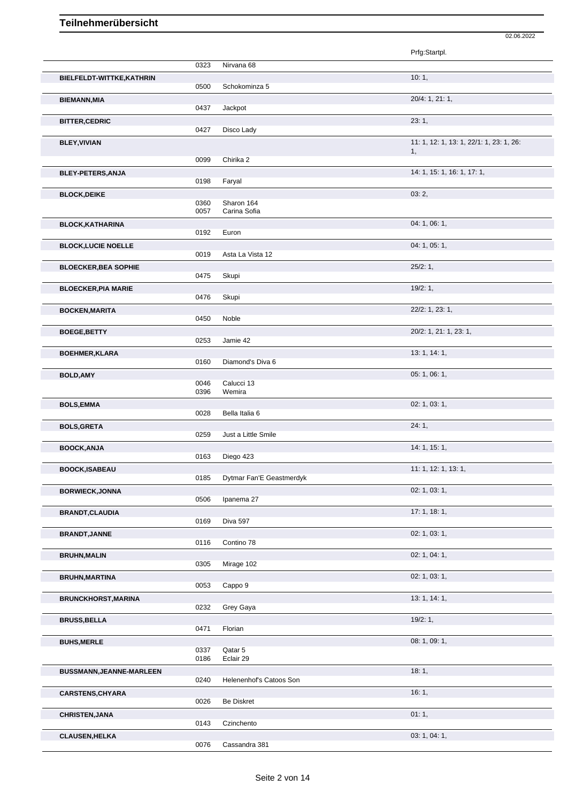|                             |      |                          | Prfg:Startpl.                            |
|-----------------------------|------|--------------------------|------------------------------------------|
|                             | 0323 | Nirvana 68               |                                          |
| BIELFELDT-WITTKE, KATHRIN   |      |                          | 10:1,                                    |
|                             | 0500 | Schokominza 5            |                                          |
| <b>BIEMANN, MIA</b>         | 0437 | Jackpot                  | 20/4: 1, 21: 1,                          |
| <b>BITTER, CEDRIC</b>       |      |                          | 23:1,                                    |
|                             | 0427 | Disco Lady               |                                          |
| <b>BLEY, VIVIAN</b>         |      |                          | 11: 1, 12: 1, 13: 1, 22/1: 1, 23: 1, 26: |
|                             | 0099 | Chirika 2                | 1,                                       |
|                             |      |                          | 14: 1, 15: 1, 16: 1, 17: 1,              |
| <b>BLEY-PETERS, ANJA</b>    | 0198 | Faryal                   |                                          |
| <b>BLOCK, DEIKE</b>         |      |                          | 03:2,                                    |
|                             | 0360 | Sharon 164               |                                          |
|                             | 0057 | Carina Sofia             |                                          |
| <b>BLOCK, KATHARINA</b>     | 0192 | Euron                    | 04: 1, 06: 1,                            |
| <b>BLOCK, LUCIE NOELLE</b>  |      |                          | 04: 1, 05: 1,                            |
|                             | 0019 | Asta La Vista 12         |                                          |
| <b>BLOECKER, BEA SOPHIE</b> |      |                          | 25/2:1,                                  |
|                             | 0475 | Skupi                    |                                          |
| <b>BLOECKER, PIA MARIE</b>  | 0476 | Skupi                    | 19/2:1,                                  |
|                             |      |                          |                                          |
| <b>BOCKEN, MARITA</b>       | 0450 | Noble                    | 22/2: 1, 23: 1,                          |
| <b>BOEGE, BETTY</b>         |      |                          | 20/2: 1, 21: 1, 23: 1,                   |
|                             | 0253 | Jamie 42                 |                                          |
| <b>BOEHMER, KLARA</b>       |      |                          | 13: 1, 14: 1,                            |
|                             | 0160 | Diamond's Diva 6         |                                          |
| <b>BOLD, AMY</b>            | 0046 | Calucci 13               | 05: 1, 06: 1,                            |
|                             | 0396 | Wemira                   |                                          |
| <b>BOLS, EMMA</b>           |      |                          | 02: 1, 03: 1,                            |
|                             | 0028 | Bella Italia 6           |                                          |
| <b>BOLS, GRETA</b>          |      |                          | 24:1,                                    |
|                             | 0259 | Just a Little Smile      |                                          |
| <b>BOOCK, ANJA</b>          | 0163 | Diego 423                | 14: 1, 15: 1,                            |
| <b>BOOCK,ISABEAU</b>        |      |                          | 11: 1, 12: 1, 13: 1,                     |
|                             | 0185 | Dytmar Fan'E Geastmerdyk |                                          |
| <b>BORWIECK, JONNA</b>      |      |                          | 02: 1, 03: 1,                            |
|                             | 0506 | Ipanema 27               |                                          |
| <b>BRANDT, CLAUDIA</b>      | 0169 | Diva 597                 | 17:1, 18:1,                              |
|                             |      |                          | 02: 1, 03: 1,                            |
| <b>BRANDT, JANNE</b>        | 0116 | Contino 78               |                                          |
| <b>BRUHN, MALIN</b>         |      |                          | 02: 1, 04: 1,                            |
|                             | 0305 | Mirage 102               |                                          |
| <b>BRUHN, MARTINA</b>       |      |                          | 02: 1, 03: 1,                            |
|                             | 0053 | Cappo 9                  |                                          |
| <b>BRUNCKHORST, MARINA</b>  | 0232 | Grey Gaya                | 13: 1, 14: 1,                            |
| <b>BRUSS, BELLA</b>         |      |                          | 19/2:1,                                  |
|                             | 0471 | Florian                  |                                          |
| <b>BUHS, MERLE</b>          |      |                          | 08: 1, 09: 1,                            |
|                             | 0337 | Qatar 5                  |                                          |
|                             | 0186 | Eclair 29                |                                          |
| BUSSMANN, JEANNE-MARLEEN    | 0240 | Helenenhof's Catoos Son  | 18:1,                                    |
| <b>CARSTENS, CHYARA</b>     |      |                          | 16:1,                                    |
|                             | 0026 | <b>Be Diskret</b>        |                                          |
| <b>CHRISTEN, JANA</b>       |      |                          | 01:1,                                    |
|                             | 0143 | Czinchento               |                                          |
| <b>CLAUSEN, HELKA</b>       |      |                          | 03: 1, 04: 1,                            |
|                             | 0076 | Cassandra 381            |                                          |

02.06.2022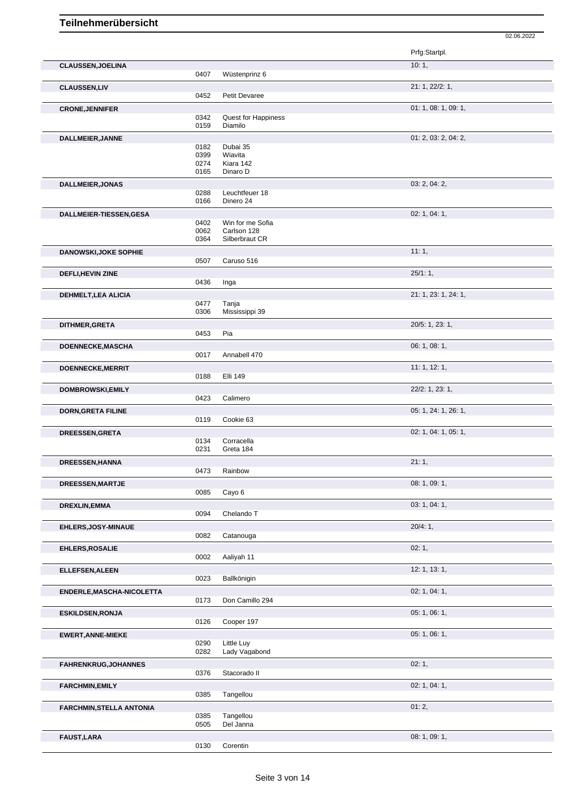|                                 |              |                         | Prfg:Startpl.        |
|---------------------------------|--------------|-------------------------|----------------------|
| <b>CLAUSSEN, JOELINA</b>        |              |                         | 10:1,                |
|                                 | 0407         | Wüstenprinz 6           |                      |
| <b>CLAUSSEN,LIV</b>             | 0452         | Petit Devaree           | 21: 1, 22/2: 1,      |
|                                 |              |                         | 01: 1, 08: 1, 09: 1, |
| <b>CRONE, JENNIFER</b>          | 0342         | Quest for Happiness     |                      |
|                                 | 0159         | Diamilo                 |                      |
| DALLMEIER, JANNE                |              |                         | 01: 2, 03: 2, 04: 2, |
|                                 | 0182         | Dubai 35                |                      |
|                                 | 0399<br>0274 | Wiavita<br>Kiara 142    |                      |
|                                 | 0165         | Dinaro D                |                      |
| <b>DALLMEIER, JONAS</b>         |              |                         | 03: 2, 04: 2,        |
|                                 | 0288         | Leuchtfeuer 18          |                      |
|                                 | 0166         | Dinero 24               |                      |
| <b>DALLMEIER-TIESSEN,GESA</b>   | 0402         | Win for me Sofia        | 02: 1, 04: 1,        |
|                                 | 0062         | Carlson 128             |                      |
|                                 | 0364         | Silberbraut CR          |                      |
| <b>DANOWSKI, JOKE SOPHIE</b>    |              |                         | 11:1,                |
|                                 | 0507         | Caruso 516              |                      |
| DEFLI, HEVIN ZINE               | 0436         | Inga                    | 25/1:1,              |
|                                 |              |                         | 21: 1, 23: 1, 24: 1, |
| DEHMELT, LEA ALICIA             | 0477         | Tanja                   |                      |
|                                 | 0306         | Mississippi 39          |                      |
| <b>DITHMER,GRETA</b>            |              |                         | 20/5: 1, 23: 1,      |
|                                 | 0453         | Pia                     |                      |
| DOENNECKE, MASCHA               | 0017         | Annabell 470            | 06: 1, 08: 1,        |
|                                 |              |                         | 11:1, 12:1,          |
| DOENNECKE, MERRIT               | 0188         | Elli 149                |                      |
| DOMBROWSKI, EMILY               |              |                         | 22/2: 1, 23: 1,      |
|                                 | 0423         | Calimero                |                      |
| <b>DORN, GRETA FILINE</b>       |              |                         | 05: 1, 24: 1, 26: 1, |
|                                 | 0119         | Cookie 63               |                      |
| DREESSEN, GRETA                 |              |                         | 02: 1, 04: 1, 05: 1, |
|                                 | 0134<br>0231 | Corracella<br>Greta 184 |                      |
| <b>DREESSEN,HANNA</b>           |              |                         | 21:1,                |
|                                 | 0473         | Rainbow                 |                      |
| <b>DREESSEN, MARTJE</b>         |              |                         | 08: 1, 09: 1,        |
|                                 | 0085         | Cayo 6                  |                      |
| <b>DREXLIN, EMMA</b>            |              |                         | 03: 1, 04: 1,        |
|                                 | 0094         | Chelando T              |                      |
| <b>EHLERS, JOSY-MINAUE</b>      | 0082         | Catanouga               | 20/4:1,              |
| EHLERS, ROSALIE                 |              |                         | 02:1,                |
|                                 | 0002         | Aaliyah 11              |                      |
| <b>ELLEFSEN, ALEEN</b>          |              |                         | 12: 1, 13: 1,        |
|                                 | 0023         | Ballkönigin             |                      |
| ENDERLE, MASCHA-NICOLETTA       |              |                         | 02: 1, 04: 1,        |
|                                 | 0173         | Don Camillo 294         |                      |
| <b>ESKILDSEN, RONJA</b>         |              |                         | 05: 1, 06: 1,        |
|                                 | 0126         | Cooper 197              |                      |
| <b>EWERT, ANNE-MIEKE</b>        | 0290         | Little Luy              | 05: 1, 06: 1,        |
|                                 | 0282         | Lady Vagabond           |                      |
| FAHRENKRUG, JOHANNES            |              |                         | 02:1,                |
|                                 | 0376         | Stacorado II            |                      |
| <b>FARCHMIN, EMILY</b>          |              |                         | 02: 1, 04: 1,        |
|                                 | 0385         | Tangellou               |                      |
| <b>FARCHMIN, STELLA ANTONIA</b> |              | Tangellou               | 01:2,                |
|                                 | 0385<br>0505 | Del Janna               |                      |
| <b>FAUST, LARA</b>              |              |                         | 08: 1, 09: 1,        |
|                                 | 0130         | Corentin                |                      |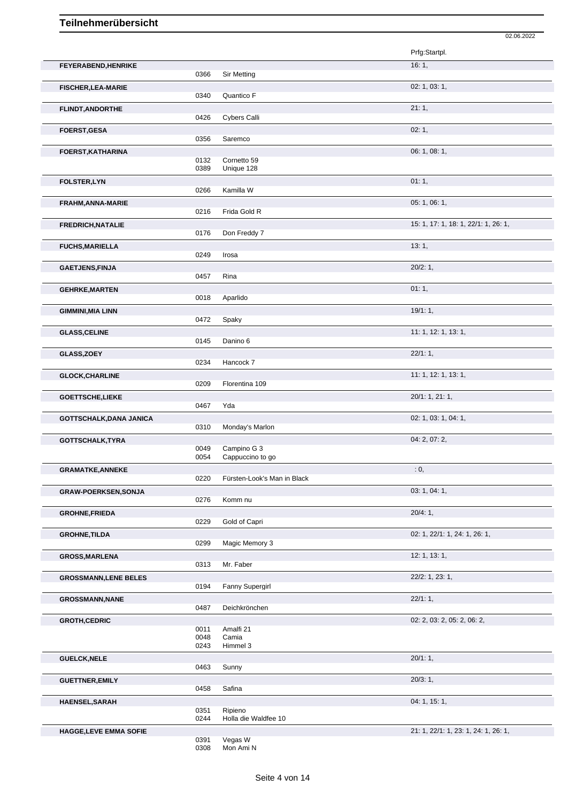|                                |              |                                 | 02.06.2022                           |
|--------------------------------|--------------|---------------------------------|--------------------------------------|
|                                |              |                                 | Prfg:Startpl.                        |
| FEYERABEND, HENRIKE            | 0366         | <b>Sir Metting</b>              | 16:1,                                |
| <b>FISCHER, LEA-MARIE</b>      |              |                                 | 02: 1, 03: 1,                        |
|                                | 0340         | Quantico F                      |                                      |
| FLINDT, ANDORTHE               | 0426         | Cybers Calli                    | 21:1,                                |
| <b>FOERST, GESA</b>            |              |                                 | 02:1,                                |
|                                | 0356         | Saremco                         |                                      |
| FOERST, KATHARINA              |              |                                 | 06: 1, 08: 1,                        |
|                                | 0132<br>0389 | Cornetto 59<br>Unique 128       |                                      |
| <b>FOLSTER,LYN</b>             |              |                                 | 01:1,                                |
|                                | 0266         | Kamilla W                       |                                      |
| FRAHM, ANNA-MARIE              | 0216         | Frida Gold R                    | 05: 1, 06: 1,                        |
| <b>FREDRICH, NATALIE</b>       |              |                                 | 15: 1, 17: 1, 18: 1, 22/1: 1, 26: 1, |
|                                | 0176         | Don Freddy 7                    |                                      |
| <b>FUCHS, MARIELLA</b>         |              |                                 | 13:1,                                |
|                                | 0249         | Irosa                           |                                      |
| <b>GAETJENS, FINJA</b>         | 0457         | Rina                            | $20/2:1$ ,                           |
| <b>GEHRKE, MARTEN</b>          |              |                                 | 01:1,                                |
|                                | 0018         | Aparlido                        |                                      |
| <b>GIMMINI, MIA LINN</b>       | 0472         | Spaky                           | 19/1:1                               |
| <b>GLASS, CELINE</b>           |              |                                 | 11: 1, 12: 1, 13: 1,                 |
|                                | 0145         | Danino 6                        |                                      |
| <b>GLASS, ZOEY</b>             |              |                                 | 22/1:1,                              |
|                                | 0234         | Hancock 7                       |                                      |
| <b>GLOCK, CHARLINE</b>         | 0209         | Florentina 109                  | 11: 1, 12: 1, 13: 1,                 |
| GOETTSCHE,LIEKE                |              |                                 | 20/1: 1, 21: 1,                      |
|                                | 0467         | Yda                             |                                      |
| <b>GOTTSCHALK, DANA JANICA</b> |              |                                 | 02: 1, 03: 1, 04: 1,                 |
| GOTTSCHALK, TYRA               | 0310         | Monday's Marlon                 | 04: 2, 07: 2,                        |
|                                | 0049         | Campino G 3                     |                                      |
|                                | 0054         | Cappuccino to go                |                                      |
| <b>GRAMATKE, ANNEKE</b>        | 0220         | Fürsten-Look's Man in Black     | : 0,                                 |
| GRAW-POERKSEN, SONJA           |              |                                 | 03: 1, 04: 1,                        |
|                                | 0276         | Komm nu                         |                                      |
| <b>GROHNE, FRIEDA</b>          |              |                                 | 20/4:1,                              |
|                                | 0229         | Gold of Capri                   | 02: 1, 22/1: 1, 24: 1, 26: 1,        |
| <b>GROHNE, TILDA</b>           | 0299         | Magic Memory 3                  |                                      |
| <b>GROSS, MARLENA</b>          |              |                                 | 12: 1, 13: 1,                        |
|                                | 0313         | Mr. Faber                       |                                      |
| <b>GROSSMANN, LENE BELES</b>   | 0194         | Fanny Supergirl                 | 22/2: 1, 23: 1,                      |
| <b>GROSSMANN, NANE</b>         |              |                                 | 22/1:1,                              |
|                                | 0487         | Deichkrönchen                   |                                      |
| <b>GROTH, CEDRIC</b>           |              |                                 | 02: 2, 03: 2, 05: 2, 06: 2,          |
|                                | 0011<br>0048 | Amalfi 21<br>Camia              |                                      |
|                                | 0243         | Himmel 3                        |                                      |
| <b>GUELCK, NELE</b>            |              | Sunny                           | 20/1:1,                              |
|                                | 0463         |                                 | 20/3:1,                              |
| <b>GUETTNER, EMILY</b>         | 0458         | Safina                          |                                      |
| HAENSEL, SARAH                 |              |                                 | 04: 1, 15: 1,                        |
|                                | 0351<br>0244 | Ripieno<br>Holla die Waldfee 10 |                                      |
| <b>HAGGE,LEVE EMMA SOFIE</b>   |              |                                 | 21: 1, 22/1: 1, 23: 1, 24: 1, 26: 1, |
|                                | 0391         | Vegas W                         |                                      |
|                                |              |                                 |                                      |

0308 Mon Ami N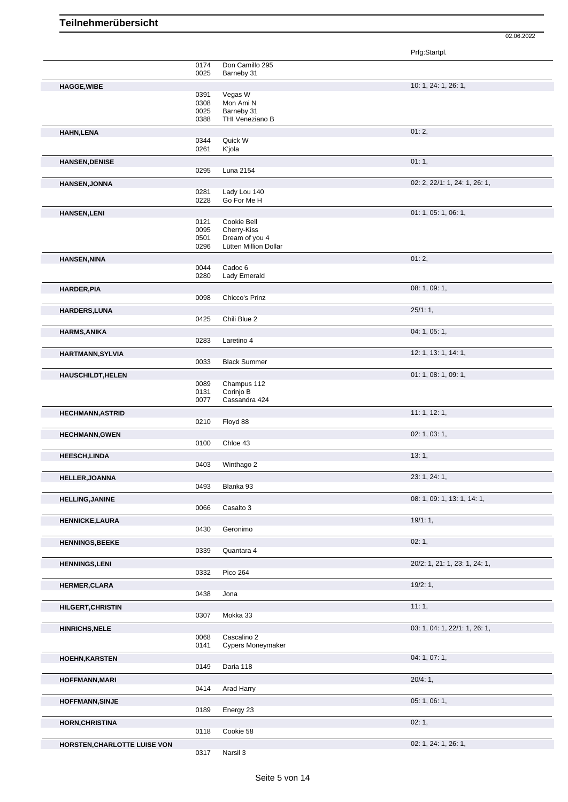|                              |              |                                    | Prfg:Startpl.                 |
|------------------------------|--------------|------------------------------------|-------------------------------|
|                              | 0174         | Don Camillo 295                    |                               |
|                              | 0025         | Barneby 31                         |                               |
| <b>HAGGE, WIBE</b>           | 0391         | Vegas W                            | 10: 1, 24: 1, 26: 1,          |
|                              | 0308         | Mon Ami N                          |                               |
|                              | 0025         | Barneby 31                         |                               |
|                              | 0388         | THI Veneziano B                    |                               |
| <b>HAHN,LENA</b>             | 0344         | Quick W                            | 01:2,                         |
|                              | 0261         | K'jola                             |                               |
| <b>HANSEN, DENISE</b>        |              |                                    | 01:1,                         |
|                              | 0295         | Luna 2154                          |                               |
| <b>HANSEN, JONNA</b>         |              |                                    | 02: 2, 22/1: 1, 24: 1, 26: 1, |
|                              | 0281         | Lady Lou 140                       |                               |
|                              | 0228         | Go For Me H                        |                               |
| <b>HANSEN, LENI</b>          | 0121         | Cookie Bell                        | 01: 1, 05: 1, 06: 1,          |
|                              | 0095         | Cherry-Kiss                        |                               |
|                              | 0501         | Dream of you 4                     |                               |
|                              | 0296         | Lütten Million Dollar              |                               |
| <b>HANSEN, NINA</b>          |              |                                    | 01:2,                         |
|                              | 0044<br>0280 | Cadoc <sub>6</sub><br>Lady Emerald |                               |
|                              |              |                                    | 08: 1, 09: 1,                 |
| <b>HARDER, PIA</b>           | 0098         | Chicco's Prinz                     |                               |
| HARDERS, LUNA                |              |                                    | 25/1:1,                       |
|                              | 0425         | Chili Blue 2                       |                               |
| <b>HARMS, ANIKA</b>          |              |                                    | 04: 1, 05: 1,                 |
|                              | 0283         | Laretino 4                         |                               |
| HARTMANN, SYLVIA             |              |                                    | 12: 1, 13: 1, 14: 1,          |
|                              | 0033         | <b>Black Summer</b>                |                               |
| <b>HAUSCHILDT, HELEN</b>     |              |                                    | 01: 1, 08: 1, 09: 1,          |
|                              | 0089         | Champus 112                        |                               |
|                              | 0131<br>0077 | Corinjo B<br>Cassandra 424         |                               |
| <b>HECHMANN, ASTRID</b>      |              |                                    | 11:1, 12:1,                   |
|                              | 0210         | Floyd 88                           |                               |
| <b>HECHMANN, GWEN</b>        |              |                                    | 02: 1, 03: 1,                 |
|                              | 0100         | Chloe 43                           |                               |
| <b>HEESCH,LINDA</b>          |              |                                    | 13:1,                         |
|                              | 0403         | Winthago 2                         |                               |
| HELLER, JOANNA               |              |                                    | 23: 1, 24: 1,                 |
|                              | 0493         | Blanka 93                          |                               |
| <b>HELLING, JANINE</b>       |              |                                    | 08: 1, 09: 1, 13: 1, 14: 1,   |
|                              | 0066         | Casalto 3                          |                               |
| <b>HENNICKE,LAURA</b>        | 0430         | Geronimo                           | 19/1:1,                       |
|                              |              |                                    |                               |
| <b>HENNINGS, BEEKE</b>       | 0339         | Quantara 4                         | 02:1,                         |
|                              |              |                                    | 20/2: 1, 21: 1, 23: 1, 24: 1, |
| <b>HENNINGS,LENI</b>         | 0332         | <b>Pico 264</b>                    |                               |
| <b>HERMER, CLARA</b>         |              |                                    | 19/2:1                        |
|                              | 0438         | Jona                               |                               |
| <b>HILGERT, CHRISTIN</b>     |              |                                    | 11:1,                         |
|                              | 0307         | Mokka 33                           |                               |
| <b>HINRICHS, NELE</b>        |              |                                    | 03: 1, 04: 1, 22/1: 1, 26: 1, |
|                              | 0068         | Cascalino 2                        |                               |
|                              | 0141         | Cypers Moneymaker                  |                               |
| <b>HOEHN, KARSTEN</b>        |              |                                    | 04: 1, 07: 1,                 |
|                              | 0149         | Daria 118                          |                               |
| <b>HOFFMANN, MARI</b>        | 0414         | Arad Harry                         | 20/4:1,                       |
|                              |              |                                    |                               |
| <b>HOFFMANN, SINJE</b>       | 0189         | Energy 23                          | 05: 1, 06: 1,                 |
|                              |              |                                    | 02:1,                         |
| <b>HORN, CHRISTINA</b>       | 0118         | Cookie 58                          |                               |
| HORSTEN, CHARLOTTE LUISE VON |              |                                    | 02: 1, 24: 1, 26: 1,          |
|                              | 0317         | Narsil 3                           |                               |
|                              |              |                                    |                               |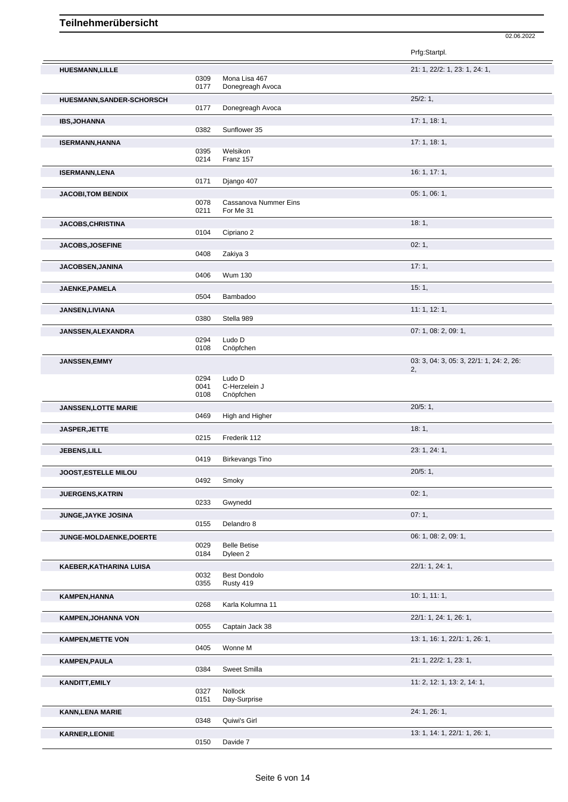|                             |                      |                                      | Prfg:Startpl.                                  |
|-----------------------------|----------------------|--------------------------------------|------------------------------------------------|
| <b>HUESMANN,LILLE</b>       | 0309<br>0177         | Mona Lisa 467<br>Donegreagh Avoca    | 21: 1, 22/2: 1, 23: 1, 24: 1,                  |
| HUESMANN, SANDER-SCHORSCH   |                      |                                      | 25/2:1,                                        |
|                             | 0177                 | Donegreagh Avoca                     |                                                |
| <b>IBS, JOHANNA</b>         |                      |                                      | 17:1, 18:1,                                    |
|                             | 0382                 | Sunflower 35                         |                                                |
| <b>ISERMANN, HANNA</b>      | 0395<br>0214         | Welsikon<br>Franz 157                | 17:1, 18:1,                                    |
| <b>ISERMANN,LENA</b>        | 0171                 | Django 407                           | 16: 1, 17: 1,                                  |
| <b>JACOBI,TOM BENDIX</b>    |                      |                                      | 05: 1, 06: 1,                                  |
|                             | 0078<br>0211         | Cassanova Nummer Eins<br>For Me 31   |                                                |
| <b>JACOBS, CHRISTINA</b>    | 0104                 | Cipriano 2                           | 18:1,                                          |
| <b>JACOBS, JOSEFINE</b>     |                      |                                      | 02:1,                                          |
|                             | 0408                 | Zakiya 3                             |                                                |
| <b>JACOBSEN, JANINA</b>     | 0406                 | <b>Wum 130</b>                       | 17:1,                                          |
| JAENKE, PAMELA              | 0504                 | Bambadoo                             | 15:1,                                          |
| JANSEN, LIVIANA             | 0380                 | Stella 989                           | 11: 1, 12: 1,                                  |
| JANSSEN, ALEXANDRA          |                      |                                      | 07: 1, 08: 2, 09: 1,                           |
|                             | 0294<br>0108         | Ludo D<br>Cnöpfchen                  |                                                |
| <b>JANSSEN, EMMY</b>        |                      |                                      | 03: 3, 04: 3, 05: 3, 22/1: 1, 24: 2, 26:<br>2, |
|                             | 0294<br>0041<br>0108 | Ludo D<br>C-Herzelein J<br>Cnöpfchen |                                                |
| <b>JANSSEN, LOTTE MARIE</b> | 0469                 | High and Higher                      | 20/5:1,                                        |
| JASPER, JETTE               |                      |                                      | 18:1,                                          |
|                             | 0215                 | Frederik 112                         |                                                |
| JEBENS, LILL                | 0419                 | <b>Birkevangs Tino</b>               | 23: 1, 24: 1,                                  |
| JOOST, ESTELLE MILOU        |                      |                                      | 20/5:1,                                        |
| <b>JUERGENS, KATRIN</b>     | 0492                 | Smoky                                | 02:1,                                          |
|                             | 0233                 | Gwynedd                              |                                                |
| JUNGE, JAYKE JOSINA         |                      |                                      | 07:1,                                          |
|                             | 0155                 | Delandro 8                           |                                                |
| JUNGE-MOLDAENKE, DOERTE     | 0029<br>0184         | <b>Belle Betise</b><br>Dyleen 2      | 06: 1, 08: 2, 09: 1,                           |
| KAEBER, KATHARINA LUISA     |                      |                                      | 22/1: 1, 24: 1,                                |
|                             | 0032<br>0355         | <b>Best Dondolo</b><br>Rusty 419     |                                                |
| KAMPEN, HANNA               | 0268                 | Karla Kolumna 11                     | 10: 1, 11: 1,                                  |
| <b>KAMPEN, JOHANNA VON</b>  | 0055                 | Captain Jack 38                      | 22/1: 1, 24: 1, 26: 1,                         |
| <b>KAMPEN, METTE VON</b>    |                      |                                      | 13: 1, 16: 1, 22/1: 1, 26: 1,                  |
|                             | 0405                 | Wonne M                              |                                                |
| <b>KAMPEN, PAULA</b>        | 0384                 | Sweet Smilla                         | 21: 1, 22/2: 1, 23: 1,                         |
| <b>KANDITT, EMILY</b>       |                      |                                      | 11: 2, 12: 1, 13: 2, 14: 1,                    |
|                             | 0327<br>0151         | Nollock<br>Day-Surprise              |                                                |
| <b>KANN, LENA MARIE</b>     | 0348                 | Quiwi's Girl                         | 24: 1, 26: 1,                                  |

02.06.2022

**KARNER,LEONIE** 13: 1, 14: 1, 22/1: 1, 26: 1, 26: 1, 20150 Davide 7

Davide 7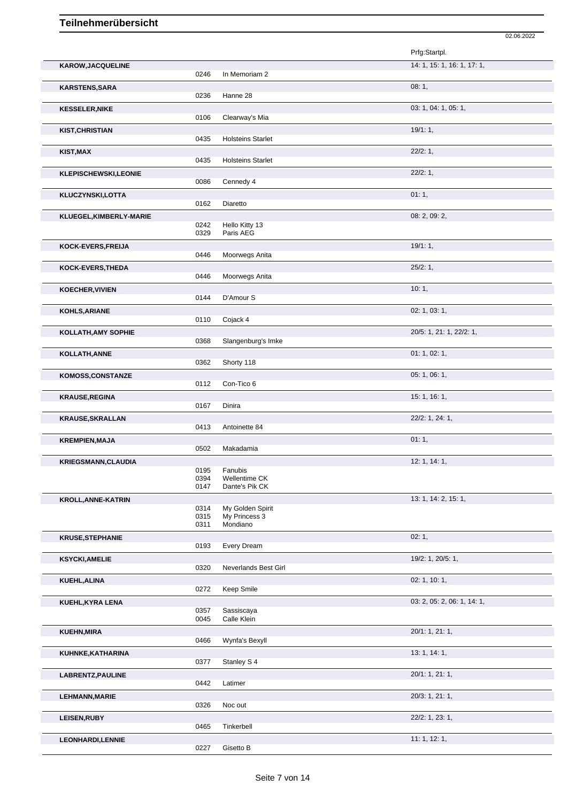|                            |                      |                                               | Prfg:Startpl.               |
|----------------------------|----------------------|-----------------------------------------------|-----------------------------|
| <b>KAROW, JACQUELINE</b>   | 0246                 | In Memoriam 2                                 | 14: 1, 15: 1, 16: 1, 17: 1, |
| <b>KARSTENS, SARA</b>      | 0236                 | Hanne 28                                      | 08:1,                       |
| <b>KESSELER, NIKE</b>      | 0106                 | Clearway's Mia                                | 03: 1, 04: 1, 05: 1,        |
| <b>KIST, CHRISTIAN</b>     |                      |                                               | 19/1:1,                     |
|                            | 0435                 | <b>Holsteins Starlet</b>                      | 22/2:1,                     |
| KIST, MAX                  | 0435                 | <b>Holsteins Starlet</b>                      |                             |
| KLEPISCHEWSKI,LEONIE       | 0086                 | Cennedy 4                                     | 22/2:1,                     |
| KLUCZYNSKI,LOTTA           | 0162                 | Diaretto                                      | 01:1,                       |
| KLUEGEL, KIMBERLY-MARIE    |                      |                                               | 08: 2, 09: 2,               |
|                            | 0242<br>0329         | Hello Kitty 13<br>Paris AEG                   |                             |
| KOCK-EVERS, FREIJA         | 0446                 | Moorwegs Anita                                | 19/1:1,                     |
| <b>KOCK-EVERS, THEDA</b>   |                      |                                               | 25/2:1,                     |
|                            | 0446                 | Moorwegs Anita                                |                             |
| <b>KOECHER, VIVIEN</b>     | 0144                 | D'Amour S                                     | 10:1,                       |
| KOHLS, ARIANE              | 0110                 | Cojack 4                                      | 02: 1, 03: 1,               |
| <b>KOLLATH, AMY SOPHIE</b> | 0368                 | Slangenburg's Imke                            | 20/5: 1, 21: 1, 22/2: 1,    |
| KOLLATH, ANNE              |                      |                                               | 01: 1, 02: 1,               |
|                            | 0362                 | Shorty 118                                    |                             |
| <b>KOMOSS,CONSTANZE</b>    | 0112                 | Con-Tico 6                                    | 05: 1, 06: 1,               |
| <b>KRAUSE, REGINA</b>      | 0167                 | Dinira                                        | 15:1, 16:1,                 |
| <b>KRAUSE, SKRALLAN</b>    | 0413                 | Antoinette 84                                 | 22/2: 1, 24: 1,             |
| <b>KREMPIEN, MAJA</b>      | 0502                 | Makadamia                                     | 01:1,                       |
| <b>KRIEGSMANN, CLAUDIA</b> |                      |                                               | 12: 1, 14: 1,               |
|                            | 0195<br>0394<br>0147 | Fanubis<br>Wellentime CK<br>Dante's Pik CK    |                             |
| <b>KROLL, ANNE-KATRIN</b>  |                      |                                               | 13: 1, 14: 2, 15: 1,        |
|                            | 0314<br>0315<br>0311 | My Golden Spirit<br>My Princess 3<br>Mondiano |                             |
| <b>KRUSE, STEPHANIE</b>    |                      |                                               | 02:1,                       |
|                            | 0193                 | Every Dream                                   |                             |
| <b>KSYCKI,AMELIE</b>       | 0320                 | Neverlands Best Girl                          | 19/2: 1, 20/5: 1,           |
| KUEHL, ALINA               |                      |                                               | 02: 1, 10: 1,               |
| KUEHL, KYRA LENA           | 0272                 | Keep Smile                                    | 03: 2, 05: 2, 06: 1, 14: 1, |
|                            | 0357<br>0045         | Sassiscaya<br>Calle Klein                     |                             |
| <b>KUEHN, MIRA</b>         |                      |                                               | 20/1: 1, 21: 1,             |
|                            | 0466                 | Wynfa's Bexyll                                | 13: 1, 14: 1,               |
| KUHNKE, KATHARINA          | 0377                 | Stanley S 4                                   |                             |
| LABRENTZ, PAULINE          | 0442                 | Latimer                                       | 20/1: 1, 21: 1,             |
| <b>LEHMANN, MARIE</b>      |                      |                                               | 20/3: 1, 21: 1,             |
| <b>LEISEN, RUBY</b>        | 0326                 | Noc out                                       | 22/2: 1, 23: 1,             |
| LEONHARDI, LENNIE          | 0465                 | Tinkerbell                                    | 11:1, 12:1,                 |
|                            | 0227                 | Gisetto B                                     |                             |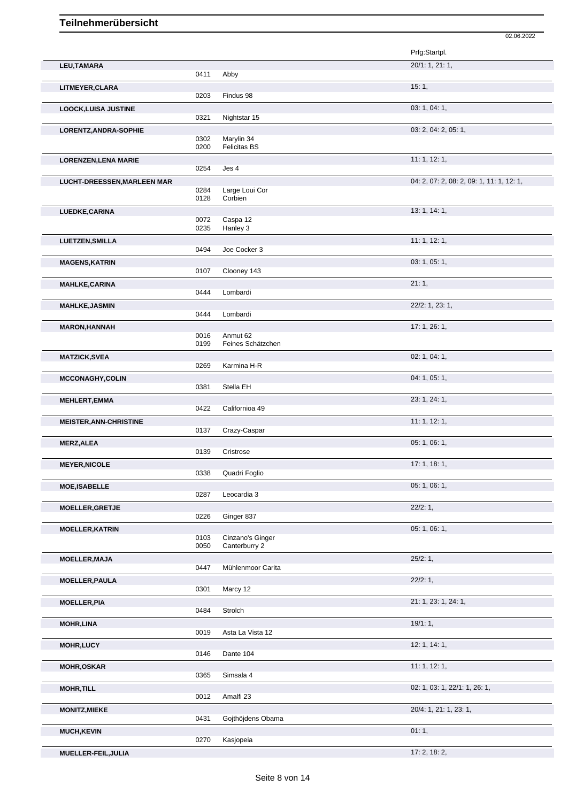|                                    |              |                               | Prfg:Startpl.                             |
|------------------------------------|--------------|-------------------------------|-------------------------------------------|
| LEU, TAMARA                        | 0411         | Abby                          | 20/1: 1, 21: 1,                           |
| LITMEYER, CLARA                    |              |                               | 15:1,                                     |
|                                    | 0203         | Findus 98                     |                                           |
| <b>LOOCK, LUISA JUSTINE</b>        | 0321         | Nightstar 15                  | 03: 1, 04: 1,                             |
| LORENTZ, ANDRA-SOPHIE              |              |                               | 03: 2, 04: 2, 05: 1,                      |
|                                    | 0302         | Marylin 34                    |                                           |
|                                    | 0200         | <b>Felicitas BS</b>           |                                           |
| <b>LORENZEN, LENA MARIE</b>        |              |                               | 11: 1, 12: 1,                             |
|                                    | 0254         | Jes 4                         |                                           |
| <b>LUCHT-DREESSEN, MARLEEN MAR</b> |              |                               | 04: 2, 07: 2, 08: 2, 09: 1, 11: 1, 12: 1, |
|                                    | 0284<br>0128 | Large Loui Cor<br>Corbien     |                                           |
|                                    |              |                               | 13: 1, 14: 1,                             |
| LUEDKE, CARINA                     | 0072         | Caspa 12                      |                                           |
|                                    | 0235         | Hanley 3                      |                                           |
| <b>LUETZEN, SMILLA</b>             |              |                               | 11: 1, 12: 1,                             |
|                                    | 0494         | Joe Cocker 3                  |                                           |
| <b>MAGENS, KATRIN</b>              |              |                               | 03: 1, 05: 1,                             |
|                                    | 0107         | Clooney 143                   |                                           |
| <b>MAHLKE,CARINA</b>               |              |                               | 21:1,                                     |
|                                    | 0444         | Lombardi                      |                                           |
| <b>MAHLKE, JASMIN</b>              |              |                               | 22/2: 1, 23: 1,                           |
|                                    | 0444         | Lombardi                      |                                           |
| <b>MARON, HANNAH</b>               |              |                               | 17: 1, 26: 1,                             |
|                                    | 0016<br>0199 | Anmut 62<br>Feines Schätzchen |                                           |
|                                    |              |                               |                                           |
| <b>MATZICK, SVEA</b>               | 0269         | Karmina H-R                   | 02: 1, 04: 1,                             |
|                                    |              |                               | 04: 1, 05: 1,                             |
| <b>MCCONAGHY,COLIN</b>             | 0381         | Stella EH                     |                                           |
| <b>MEHLERT, EMMA</b>               |              |                               | 23: 1, 24: 1,                             |
|                                    | 0422         | Californioa 49                |                                           |
| <b>MEISTER, ANN-CHRISTINE</b>      |              |                               | 11:1, 12:1,                               |
|                                    | 0137         | Crazy-Caspar                  |                                           |
| <b>MERZ, ALEA</b>                  |              |                               | 05: 1, 06: 1,                             |
|                                    | 0139         | Cristrose                     |                                           |
| <b>MEYER, NICOLE</b>               |              |                               | 17:1, 18:1,                               |
|                                    | 0338         | Quadri Foglio                 |                                           |
| <b>MOE, ISABELLE</b>               |              |                               | 05: 1, 06: 1,                             |
|                                    | 0287         | Leocardia 3                   |                                           |
| MOELLER, GRETJE                    | 0226         |                               | 22/2:1,                                   |
|                                    |              | Ginger 837                    |                                           |
| <b>MOELLER, KATRIN</b>             | 0103         | Cinzano's Ginger              | 05: 1, 06: 1,                             |
|                                    | 0050         | Canterburry 2                 |                                           |
| <b>MOELLER, MAJA</b>               |              |                               | 25/2:1,                                   |
|                                    | 0447         | Mühlenmoor Carita             |                                           |
| <b>MOELLER, PAULA</b>              |              |                               | 22/2:1,                                   |
|                                    | 0301         | Marcy 12                      |                                           |
| <b>MOELLER, PIA</b>                |              |                               | 21: 1, 23: 1, 24: 1,                      |
|                                    | 0484         | Strolch                       |                                           |
| <b>MOHR, LINA</b>                  |              |                               | 19/1:1,                                   |
|                                    | 0019         | Asta La Vista 12              |                                           |
| <b>MOHR,LUCY</b>                   | 0146         | Dante 104                     | 12: 1, 14: 1,                             |
|                                    |              |                               |                                           |
| <b>MOHR,OSKAR</b>                  | 0365         | Simsala 4                     | 11: 1, 12: 1,                             |
|                                    |              |                               |                                           |
| <b>MOHR, TILL</b>                  | 0012         | Amalfi 23                     | 02: 1, 03: 1, 22/1: 1, 26: 1,             |
|                                    |              |                               | 20/4: 1, 21: 1, 23: 1,                    |
| <b>MONITZ, MIEKE</b>               | 0431         | Gojthöjdens Obama             |                                           |
| <b>MUCH, KEVIN</b>                 |              |                               | 01:1,                                     |
|                                    | 0270         | Kasjopeia                     |                                           |
| MUELLER-FEIL, JULIA                |              |                               | 17: 2, 18: 2,                             |
|                                    |              |                               |                                           |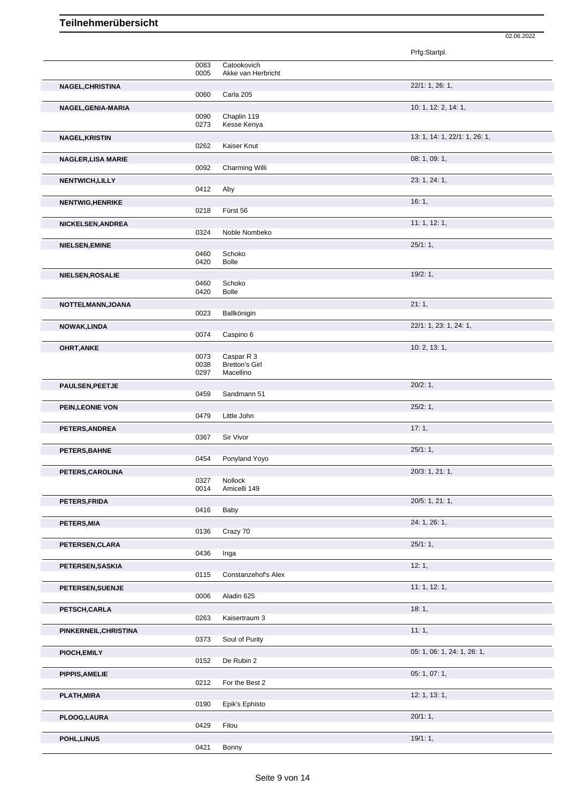|                           |              |                                    | Prfg:Startpl.                 |
|---------------------------|--------------|------------------------------------|-------------------------------|
|                           | 0083         | Catookovich                        |                               |
|                           | 0005         | Akke van Herbricht                 |                               |
| NAGEL, CHRISTINA          | 0060         | Carla 205                          | 22/1: 1, 26: 1,               |
|                           |              |                                    |                               |
| NAGEL, GENIA-MARIA        | 0090         | Chaplin 119                        | 10: 1, 12: 2, 14: 1,          |
|                           | 0273         | Kesse Kenya                        |                               |
| <b>NAGEL, KRISTIN</b>     |              |                                    | 13: 1, 14: 1, 22/1: 1, 26: 1, |
|                           | 0262         | Kaiser Knut                        |                               |
| <b>NAGLER, LISA MARIE</b> |              |                                    | 08: 1, 09: 1,                 |
|                           | 0092         | Charming Willi                     |                               |
| <b>NENTWICH, LILLY</b>    | 0412         | Aby                                | 23: 1, 24: 1,                 |
|                           |              |                                    |                               |
| <b>NENTWIG, HENRIKE</b>   | 0218         | Fürst 56                           | 16:1,                         |
| NICKELSEN, ANDREA         |              |                                    | 11: 1, 12: 1,                 |
|                           | 0324         | Noble Nombeko                      |                               |
| NIELSEN, EMINE            |              |                                    | 25/1:1,                       |
|                           | 0460         | Schoko                             |                               |
|                           | 0420         | <b>Bolle</b>                       |                               |
| NIELSEN, ROSALIE          |              |                                    | 19/2:1,                       |
|                           | 0460<br>0420 | Schoko<br><b>Bolle</b>             |                               |
|                           |              |                                    | 21:1,                         |
| NOTTELMANN, JOANA         | 0023         | Ballkönigin                        |                               |
| NOWAK, LINDA              |              |                                    | 22/1: 1, 23: 1, 24: 1,        |
|                           | 0074         | Caspino 6                          |                               |
| OHRT, ANKE                |              |                                    | 10: 2, 13: 1,                 |
|                           | 0073         | Caspar R 3                         |                               |
|                           | 0038<br>0297 | <b>Bretton's Girl</b><br>Macellino |                               |
|                           |              |                                    |                               |
| <b>PAULSEN, PEETJE</b>    | 0459         | Sandmann 51                        | 20/2:1,                       |
| PEIN, LEONIE VON          |              |                                    | 25/2:1,                       |
|                           | 0479         | Little John                        |                               |
| PETERS, ANDREA            |              |                                    | 17:1,                         |
|                           | 0367         | Sir Vivor                          |                               |
| PETERS, BAHNE             |              |                                    | 25/1:1,                       |
|                           | 0454         | Ponyland Yoyo                      |                               |
| PETERS, CAROLINA          |              |                                    | 20/3: 1, 21: 1,               |
|                           | 0327<br>0014 | Nollock<br>Amicelli 149            |                               |
| PETERS, FRIDA             |              |                                    | 20/5: 1, 21: 1,               |
|                           | 0416         | Baby                               |                               |
| PETERS, MIA               |              |                                    | 24: 1, 26: 1,                 |
|                           | 0136         | Crazy 70                           |                               |
| PETERSEN, CLARA           |              |                                    | 25/1:1,                       |
|                           | 0436         | Inga                               |                               |
| PETERSEN, SASKIA          |              |                                    | 12:1,                         |
|                           | 0115         | Constanzehof's Alex                |                               |
| PETERSEN, SUENJE          | 0006         | Aladin 625                         | 11:1, 12:1,                   |
|                           |              |                                    | 18:1,                         |
| PETSCH, CARLA             | 0263         | Kaisertraum 3                      |                               |
| PINKERNEIL, CHRISTINA     |              |                                    | 11:1,                         |
|                           | 0373         | Soul of Purity                     |                               |
| PIOCH, EMILY              |              |                                    | 05: 1, 06: 1, 24: 1, 26: 1,   |
|                           | 0152         | De Rubin 2                         |                               |
| <b>PIPPIS, AMELIE</b>     |              |                                    | 05: 1, 07: 1,                 |
|                           | 0212         | For the Best 2                     |                               |
| PLATH, MIRA               |              |                                    | 12: 1, 13: 1,                 |
|                           | 0190         | Epik's Ephisto                     |                               |
| PLOOG, LAURA              | 0429         |                                    | 20/1:1,                       |
|                           |              | Filou                              |                               |
| POHL, LINUS               | 0421         | Bonny                              | 19/1:1,                       |
|                           |              |                                    |                               |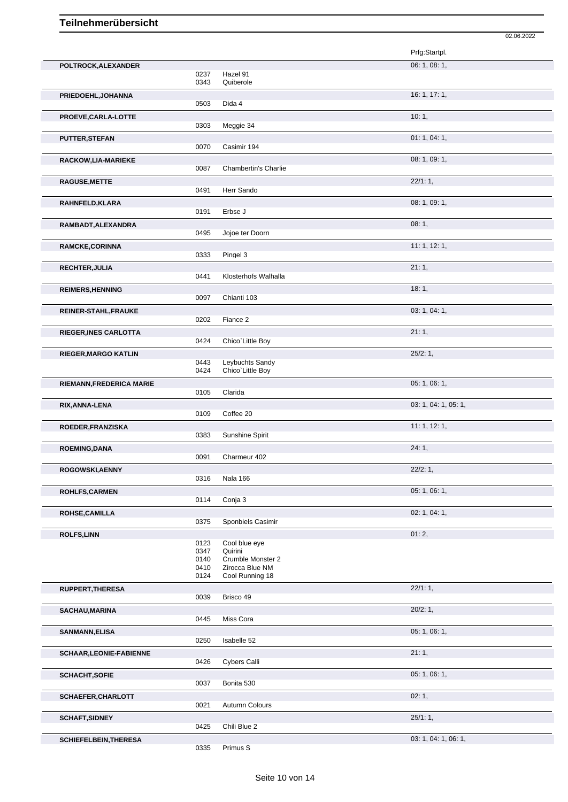|                                |      |                             | 02.06.2022           |
|--------------------------------|------|-----------------------------|----------------------|
|                                |      |                             | Prfg:Startpl.        |
|                                |      |                             | 06: 1, 08: 1,        |
| POLTROCK, ALEXANDER            | 0237 | Hazel 91                    |                      |
|                                | 0343 | Quiberole                   |                      |
| PRIEDOEHL, JOHANNA             |      |                             | 16: 1, 17: 1,        |
|                                | 0503 | Dida 4                      |                      |
|                                |      |                             |                      |
| PROEVE, CARLA-LOTTE            | 0303 | Meggie 34                   | 10:1,                |
|                                |      |                             |                      |
| PUTTER, STEFAN                 |      |                             | 01:1,04:1,           |
|                                | 0070 | Casimir 194                 |                      |
| RACKOW, LIA-MARIEKE            |      |                             | 08: 1, 09: 1,        |
|                                | 0087 | <b>Chambertin's Charlie</b> |                      |
| <b>RAGUSE, METTE</b>           |      |                             | 22/1:1,              |
|                                | 0491 | Herr Sando                  |                      |
| RAHNFELD, KLARA                |      |                             | 08:1,09:1,           |
|                                | 0191 | Erbse J                     |                      |
| RAMBADT, ALEXANDRA             |      |                             | 08:1,                |
|                                | 0495 | Jojoe ter Doorn             |                      |
|                                |      |                             | 11: 1, 12: 1,        |
| RAMCKE, CORINNA                | 0333 | Pingel 3                    |                      |
|                                |      |                             |                      |
| RECHTER, JULIA                 |      | Klosterhofs Walhalla        | 21:1,                |
|                                | 0441 |                             |                      |
| <b>REIMERS, HENNING</b>        |      |                             | 18:1,                |
|                                | 0097 | Chianti 103                 |                      |
| REINER-STAHL, FRAUKE           |      |                             | 03: 1, 04: 1,        |
|                                | 0202 | Fiance 2                    |                      |
| <b>RIEGER, INES CARLOTTA</b>   |      |                             | 21:1,                |
|                                | 0424 | Chico'Little Boy            |                      |
| <b>RIEGER, MARGO KATLIN</b>    |      |                             | 25/2:1,              |
|                                | 0443 | Leybuchts Sandy             |                      |
|                                | 0424 | Chico'Little Boy            |                      |
| RIEMANN, FREDERICA MARIE       |      |                             | 05: 1, 06: 1,        |
|                                | 0105 | Clarida                     |                      |
| RIX, ANNA-LENA                 |      |                             | 03: 1, 04: 1, 05: 1, |
|                                | 0109 | Coffee 20                   |                      |
|                                |      |                             |                      |
| ROEDER, FRANZISKA              | 0383 | Sunshine Spirit             | 11: 1, 12: 1,        |
|                                |      |                             |                      |
| <b>ROEMING, DANA</b>           |      |                             | 24:1,                |
|                                | 0091 | Charmeur 402                |                      |
| ROGOWSKI, AENNY                |      |                             | 22/2:1,              |
|                                | 0316 | Nala 166                    |                      |
| ROHLFS, CARMEN                 |      |                             | 05: 1, 06: 1,        |
|                                | 0114 | Conja 3                     |                      |
| ROHSE, CAMILLA                 |      |                             | 02: 1, 04: 1,        |
|                                | 0375 | Sponbiels Casimir           |                      |
| <b>ROLFS,LINN</b>              |      |                             | 01:2,                |
|                                | 0123 | Cool blue eye               |                      |
|                                | 0347 | Quirini                     |                      |
|                                | 0140 | Crumble Monster 2           |                      |
|                                | 0410 | Zirocca Blue NM             |                      |
|                                | 0124 | Cool Running 18             |                      |
| <b>RUPPERT, THERESA</b>        |      |                             | 22/1:1,              |
|                                | 0039 | Brisco 49                   |                      |
| <b>SACHAU, MARINA</b>          |      |                             | 20/2:1,              |
|                                | 0445 | Miss Cora                   |                      |
| SANMANN, ELISA                 |      |                             | 05: 1, 06: 1,        |
|                                | 0250 | Isabelle 52                 |                      |
|                                |      |                             |                      |
| <b>SCHAAR, LEONIE-FABIENNE</b> | 0426 | Cybers Calli                | 21:1,                |
|                                |      |                             |                      |
| <b>SCHACHT, SOFIE</b>          |      |                             | 05: 1, 06: 1,        |
|                                | 0037 | Bonita 530                  |                      |
| SCHAEFER, CHARLOTT             |      |                             | 02:1,                |
|                                | 0021 | Autumn Colours              |                      |
| <b>SCHAFT, SIDNEY</b>          |      |                             | 25/1:1,              |
|                                | 0425 | Chili Blue 2                |                      |
| <b>SCHIEFELBEIN, THERESA</b>   |      |                             | 03: 1, 04: 1, 06: 1, |
|                                | 0335 | Primus S                    |                      |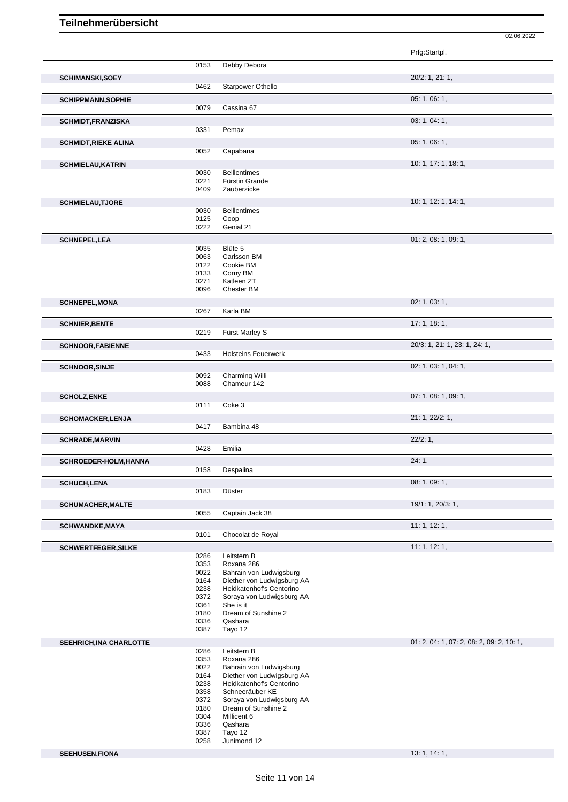|                             |              |                                                        | Prfg:Startpl.                             |
|-----------------------------|--------------|--------------------------------------------------------|-------------------------------------------|
|                             |              |                                                        |                                           |
|                             | 0153         | Debby Debora                                           |                                           |
| <b>SCHIMANSKI,SOEY</b>      |              |                                                        | 20/2: 1, 21: 1,                           |
|                             | 0462         | Starpower Othello                                      |                                           |
| <b>SCHIPPMANN, SOPHIE</b>   |              |                                                        | 05: 1, 06: 1,                             |
|                             | 0079         | Cassina 67                                             |                                           |
| <b>SCHMIDT, FRANZISKA</b>   |              |                                                        | 03: 1, 04: 1,                             |
|                             | 0331         | Pemax                                                  |                                           |
|                             |              |                                                        | 05: 1, 06: 1,                             |
| <b>SCHMIDT, RIEKE ALINA</b> | 0052         | Capabana                                               |                                           |
|                             |              |                                                        |                                           |
| <b>SCHMIELAU, KATRIN</b>    | 0030         | <b>Bellentimes</b>                                     | 10: 1, 17: 1, 18: 1,                      |
|                             | 0221         | Fürstin Grande                                         |                                           |
|                             | 0409         | Zauberzicke                                            |                                           |
| <b>SCHMIELAU, TJORE</b>     |              |                                                        | 10: 1, 12: 1, 14: 1,                      |
|                             | 0030         | <b>Belllentimes</b>                                    |                                           |
|                             | 0125         | Coop                                                   |                                           |
|                             | 0222         | Genial 21                                              |                                           |
| <b>SCHNEPEL, LEA</b>        |              |                                                        | 01: 2, 08: 1, 09: 1,                      |
|                             | 0035         | Blüte 5                                                |                                           |
|                             | 0063         | Carlsson BM                                            |                                           |
|                             | 0122<br>0133 | Cookie BM<br>Corny BM                                  |                                           |
|                             | 0271         | Katleen ZT                                             |                                           |
|                             | 0096         | Chester BM                                             |                                           |
| <b>SCHNEPEL, MONA</b>       |              |                                                        | 02: 1, 03: 1,                             |
|                             | 0267         | Karla BM                                               |                                           |
|                             |              |                                                        | 17:1, 18:1,                               |
| <b>SCHNIER, BENTE</b>       | 0219         | Fürst Marley S                                         |                                           |
|                             |              |                                                        |                                           |
| <b>SCHNOOR, FABIENNE</b>    | 0433         | <b>Holsteins Feuerwerk</b>                             | 20/3: 1, 21: 1, 23: 1, 24: 1,             |
|                             |              |                                                        |                                           |
| <b>SCHNOOR, SINJE</b>       |              |                                                        | 02: 1, 03: 1, 04: 1,                      |
|                             | 0092<br>0088 | Charming Willi<br>Chameur 142                          |                                           |
|                             |              |                                                        |                                           |
| <b>SCHOLZ,ENKE</b>          | 0111         | Coke 3                                                 | 07: 1, 08: 1, 09: 1,                      |
|                             |              |                                                        |                                           |
| <b>SCHOMACKER, LENJA</b>    |              |                                                        | 21: 1, 22/2: 1,                           |
|                             | 0417         | Bambina 48                                             |                                           |
|                             |              |                                                        | 22/2:1,                                   |
| <b>SCHRADE, MARVIN</b>      |              |                                                        |                                           |
|                             | 0428         | Emilia                                                 |                                           |
| SCHROEDER-HOLM, HANNA       |              |                                                        | 24:1,                                     |
|                             | 0158         | Despalina                                              |                                           |
| <b>SCHUCH,LENA</b>          |              |                                                        | 08: 1, 09: 1,                             |
|                             | 0183         | Düster                                                 |                                           |
| <b>SCHUMACHER, MALTE</b>    |              |                                                        | 19/1: 1, 20/3: 1,                         |
|                             | 0055         | Captain Jack 38                                        |                                           |
| <b>SCHWANDKE, MAYA</b>      |              |                                                        | 11: 1, 12: 1,                             |
|                             | 0101         | Chocolat de Royal                                      |                                           |
| SCHWERTFEGER, SILKE         |              |                                                        | 11:1, 12:1,                               |
|                             | 0286         | Leitstern B                                            |                                           |
|                             | 0353         | Roxana 286                                             |                                           |
|                             | 0022         | Bahrain von Ludwigsburg                                |                                           |
|                             | 0164<br>0238 | Diether von Ludwigsburg AA<br>Heidkatenhof's Centorino |                                           |
|                             | 0372         | Soraya von Ludwigsburg AA                              |                                           |
|                             | 0361         | She is it                                              |                                           |
|                             | 0180         | Dream of Sunshine 2                                    |                                           |
|                             | 0336<br>0387 | Qashara                                                |                                           |
|                             |              | Tayo 12                                                |                                           |
| SEEHRICH, INA CHARLOTTE     |              |                                                        | 01: 2, 04: 1, 07: 2, 08: 2, 09: 2, 10: 1, |
|                             | 0286<br>0353 | Leitstern B<br>Roxana 286                              |                                           |
|                             | 0022         | Bahrain von Ludwigsburg                                |                                           |
|                             | 0164         | Diether von Ludwigsburg AA                             |                                           |
|                             | 0238         | Heidkatenhof's Centorino                               |                                           |
|                             | 0358<br>0372 | Schneeräuber KE                                        |                                           |
|                             | 0180         | Soraya von Ludwigsburg AA<br>Dream of Sunshine 2       |                                           |
|                             | 0304         | Millicent 6                                            |                                           |
|                             | 0336<br>0387 | Qashara<br>Tayo 12                                     |                                           |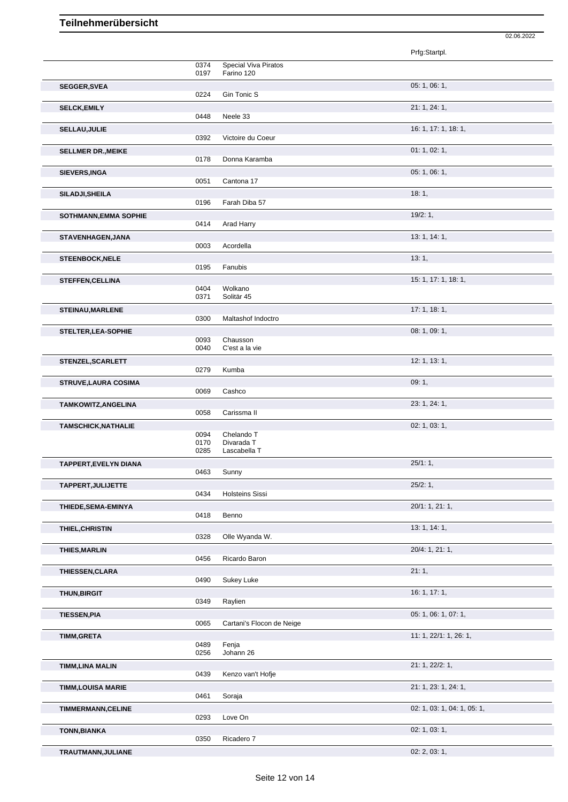|                              |              |                            | Prfg:Startpl.               |
|------------------------------|--------------|----------------------------|-----------------------------|
|                              | 0374         | Special Viva Piratos       |                             |
| <b>SEGGER, SVEA</b>          | 0197         | Farino 120                 | 05: 1, 06: 1,               |
|                              | 0224         | Gin Tonic S                |                             |
| <b>SELCK, EMILY</b>          | 0448         | Neele 33                   | 21: 1, 24: 1,               |
| SELLAU, JULIE                |              |                            | 16: 1, 17: 1, 18: 1,        |
|                              | 0392         | Victoire du Coeur          |                             |
| <b>SELLMER DR., MEIKE</b>    | 0178         | Donna Karamba              | 01: 1, 02: 1,               |
| SIEVERS, INGA                |              |                            | 05: 1, 06: 1,               |
| SILADJI, SHEILA              | 0051         | Cantona 17                 | 18:1,                       |
|                              | 0196         | Farah Diba 57              |                             |
| SOTHMANN, EMMA SOPHIE        | 0414         | Arad Harry                 | 19/2:1,                     |
| STAVENHAGEN, JANA            |              |                            | 13: 1, 14: 1,               |
|                              | 0003         | Acordella                  |                             |
| <b>STEENBOCK, NELE</b>       | 0195         | Fanubis                    | 13:1,                       |
| <b>STEFFEN, CELLINA</b>      |              |                            | 15: 1, 17: 1, 18: 1,        |
|                              | 0404<br>0371 | Wolkano<br>Solitär 45      |                             |
| STEINAU, MARLENE             |              |                            | 17: 1, 18: 1,               |
| STELTER, LEA-SOPHIE          | 0300         | Maltashof Indoctro         | 08: 1, 09: 1,               |
|                              | 0093         | Chausson                   |                             |
| STENZEL, SCARLETT            | 0040         | C'est a la vie             | 12: 1, 13: 1,               |
|                              | 0279         | Kumba                      |                             |
| <b>STRUVE, LAURA COSIMA</b>  | 0069         | Cashco                     | 09:1,                       |
| TAMKOWITZ, ANGELINA          |              |                            | 23: 1, 24: 1,               |
|                              | 0058         | Carissma II                |                             |
| <b>TAMSCHICK, NATHALIE</b>   | 0094         | Chelando T                 | 02: 1, 03: 1,               |
|                              | 0170<br>0285 | Divarada T<br>Lascabella T |                             |
| <b>TAPPERT, EVELYN DIANA</b> |              |                            | 25/1:1,                     |
|                              | 0463         | Sunny                      |                             |
| TAPPERT, JULIJETTE           | 0434         | <b>Holsteins Sissi</b>     | 25/2:1,                     |
| THIEDE, SEMA-EMINYA          |              |                            | $20/1$ : 1, 21: 1,          |
| THIEL, CHRISTIN              | 0418         | Benno                      | 13: 1, 14: 1,               |
|                              | 0328         | Olle Wyanda W.             |                             |
| <b>THIES, MARLIN</b>         | 0456         | Ricardo Baron              | 20/4: 1, 21: 1,             |
| THIESSEN, CLARA              |              |                            | 21:1,                       |
|                              | 0490         | Sukey Luke                 |                             |
| <b>THUN, BIRGIT</b>          | 0349         | Raylien                    | 16: 1, 17: 1,               |
| <b>TIESSEN, PIA</b>          |              |                            | 05: 1, 06: 1, 07: 1,        |
|                              | 0065         | Cartani's Flocon de Neige  |                             |
| <b>TIMM,GRETA</b>            | 0489         | Fenja                      | 11: 1, 22/1: 1, 26: 1,      |
|                              | 0256         | Johann 26                  |                             |
| <b>TIMM, LINA MALIN</b>      | 0439         | Kenzo van't Hofje          | 21: 1, 22/2: 1,             |
| <b>TIMM,LOUISA MARIE</b>     |              |                            | 21: 1, 23: 1, 24: 1,        |
| <b>TIMMERMANN, CELINE</b>    | 0461         | Soraja                     | 02: 1, 03: 1, 04: 1, 05: 1, |
|                              | 0293         | Love On                    |                             |
| <b>TONN, BIANKA</b>          | 0350         | Ricadero 7                 | 02: 1, 03: 1,               |
| TRAUTMANN, JULIANE           |              |                            | 02: 2, 03: 1,               |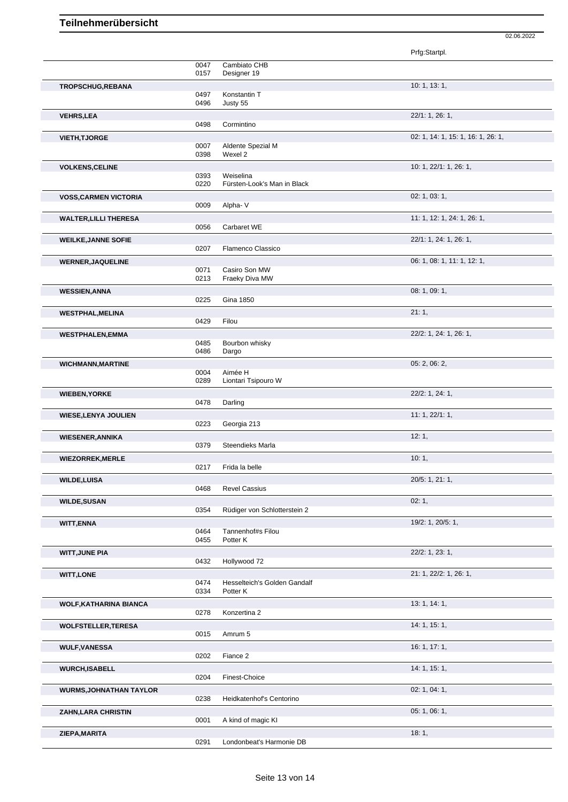|                                |              |                                          | Prfg:Startpl.                      |
|--------------------------------|--------------|------------------------------------------|------------------------------------|
|                                | 0047<br>0157 | Cambiato CHB<br>Designer 19              |                                    |
| TROPSCHUG, REBANA              | 0497<br>0496 | Konstantin T<br>Justy 55                 | 10: 1, 13: 1,                      |
| <b>VEHRS, LEA</b>              | 0498         | Cormintino                               | 22/1: 1, 26: 1,                    |
| <b>VIETH, TJORGE</b>           |              |                                          | 02: 1, 14: 1, 15: 1, 16: 1, 26: 1, |
|                                | 0007<br>0398 | Aldente Spezial M<br>Wexel 2             |                                    |
| <b>VOLKENS, CELINE</b>         | 0393         | Weiselina                                | 10: 1, 22/1: 1, 26: 1,             |
|                                | 0220         | Fürsten-Look's Man in Black              |                                    |
| <b>VOSS, CARMEN VICTORIA</b>   | 0009         | Alpha-V                                  | 02: 1, 03: 1,                      |
| <b>WALTER, LILLI THERESA</b>   |              |                                          | 11: 1, 12: 1, 24: 1, 26: 1,        |
|                                | 0056         | Carbaret WE                              |                                    |
| <b>WEILKE, JANNE SOFIE</b>     | 0207         | Flamenco Classico                        | 22/1: 1, 24: 1, 26: 1,             |
|                                |              |                                          | 06: 1, 08: 1, 11: 1, 12: 1,        |
| <b>WERNER, JAQUELINE</b>       | 0071<br>0213 | Casiro Son MW<br>Fraeky Diva MW          |                                    |
| <b>WESSIEN, ANNA</b>           |              |                                          | 08: 1, 09: 1,                      |
|                                | 0225         | <b>Gina 1850</b>                         |                                    |
| <b>WESTPHAL, MELINA</b>        | 0429         | Filou                                    | 21:1,                              |
| <b>WESTPHALEN, EMMA</b>        | 0485<br>0486 | Bourbon whisky<br>Dargo                  | 22/2: 1, 24: 1, 26: 1,             |
| <b>WICHMANN, MARTINE</b>       |              |                                          | 05: 2, 06: 2,                      |
|                                | 0004<br>0289 | Aimée H<br>Liontari Tsipouro W           |                                    |
| <b>WIEBEN, YORKE</b>           |              |                                          | 22/2: 1, 24: 1,                    |
|                                | 0478         | Darling                                  |                                    |
| <b>WIESE, LENYA JOULIEN</b>    | 0223         | Georgia 213                              | 11: 1, 22/1: 1,                    |
| <b>WIESENER, ANNIKA</b>        |              |                                          | 12:1,                              |
|                                | 0379         | Steendieks Marla                         |                                    |
| <b>WIEZORREK, MERLE</b>        | 0217         | Frida la belle                           | 10:1,                              |
| <b>WILDE, LUISA</b>            |              |                                          | 20/5: 1, 21: 1,                    |
|                                | 0468         | <b>Revel Cassius</b>                     |                                    |
| <b>WILDE, SUSAN</b>            | 0354         | Rüdiger von Schlotterstein 2             | 02:1,                              |
| <b>WITT, ENNA</b>              |              |                                          | 19/2: 1, 20/5: 1,                  |
|                                | 0464<br>0455 | Tannenhof#s Filou<br>Potter K            |                                    |
| <b>WITT, JUNE PIA</b>          | 0432         | Hollywood 72                             | 22/2: 1, 23: 1,                    |
| <b>WITT, LONE</b>              |              |                                          | 21: 1, 22/2: 1, 26: 1,             |
|                                | 0474<br>0334 | Hesselteich's Golden Gandalf<br>Potter K |                                    |
| <b>WOLF, KATHARINA BIANCA</b>  | 0278         | Konzertina 2                             | 13: 1, 14: 1,                      |
| <b>WOLFSTELLER, TERESA</b>     |              |                                          | 14: 1, 15: 1,                      |
|                                | 0015         | Amrum 5                                  |                                    |
| <b>WULF, VANESSA</b>           | 0202         | Fiance 2                                 | 16: 1, 17: 1,                      |
| <b>WURCH,ISABELL</b>           |              |                                          | 14:1, 15:1,                        |
|                                | 0204         | Finest-Choice                            |                                    |
| <b>WURMS, JOHNATHAN TAYLOR</b> | 0238         | Heidkatenhof's Centorino                 | 02: 1, 04: 1,                      |
| <b>ZAHN, LARA CHRISTIN</b>     |              |                                          | 05: 1, 06: 1,                      |
|                                | 0001         | A kind of magic KI                       |                                    |
| ZIEPA, MARITA                  |              |                                          | 18:1,                              |
|                                | 0291         | Londonbeat's Harmonie DB                 |                                    |